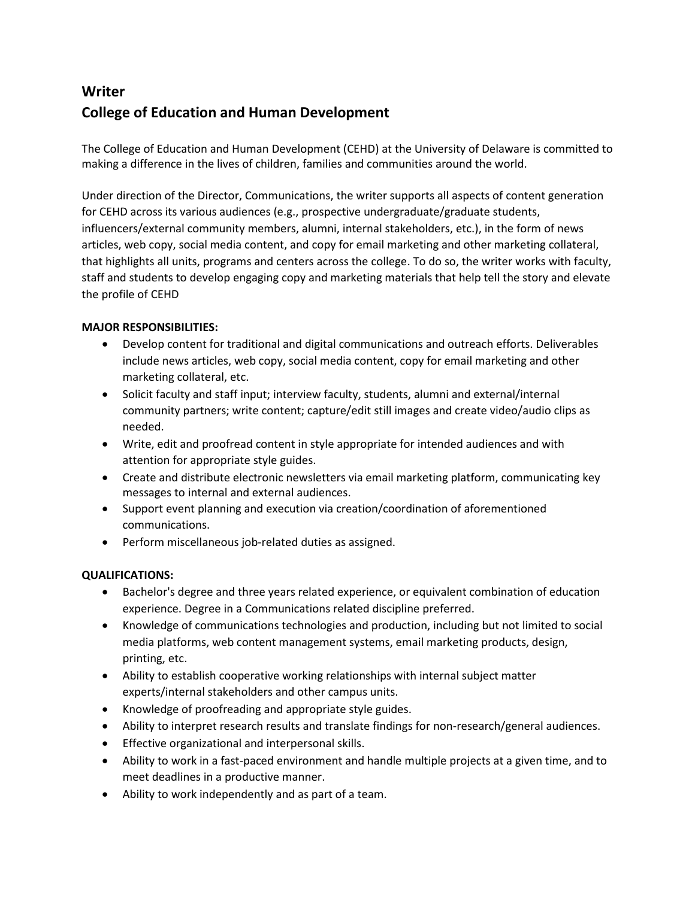## **Writer College of Education and Human Development**

The College of Education and Human Development (CEHD) at the University of Delaware is committed to making a difference in the lives of children, families and communities around the world.

Under direction of the Director, Communications, the writer supports all aspects of content generation for CEHD across its various audiences (e.g., prospective undergraduate/graduate students, influencers/external community members, alumni, internal stakeholders, etc.), in the form of news articles, web copy, social media content, and copy for email marketing and other marketing collateral, that highlights all units, programs and centers across the college. To do so, the writer works with faculty, staff and students to develop engaging copy and marketing materials that help tell the story and elevate the profile of CEHD

## **MAJOR RESPONSIBILITIES:**

- Develop content for traditional and digital communications and outreach efforts. Deliverables include news articles, web copy, social media content, copy for email marketing and other marketing collateral, etc.
- Solicit faculty and staff input; interview faculty, students, alumni and external/internal community partners; write content; capture/edit still images and create video/audio clips as needed.
- Write, edit and proofread content in style appropriate for intended audiences and with attention for appropriate style guides.
- Create and distribute electronic newsletters via email marketing platform, communicating key messages to internal and external audiences.
- Support event planning and execution via creation/coordination of aforementioned communications.
- Perform miscellaneous job-related duties as assigned.

## **QUALIFICATIONS:**

- Bachelor's degree and three years related experience, or equivalent combination of education experience. Degree in a Communications related discipline preferred.
- Knowledge of communications technologies and production, including but not limited to social media platforms, web content management systems, email marketing products, design, printing, etc.
- Ability to establish cooperative working relationships with internal subject matter experts/internal stakeholders and other campus units.
- Knowledge of proofreading and appropriate style guides.
- Ability to interpret research results and translate findings for non-research/general audiences.
- Effective organizational and interpersonal skills.
- Ability to work in a fast-paced environment and handle multiple projects at a given time, and to meet deadlines in a productive manner.
- Ability to work independently and as part of a team.